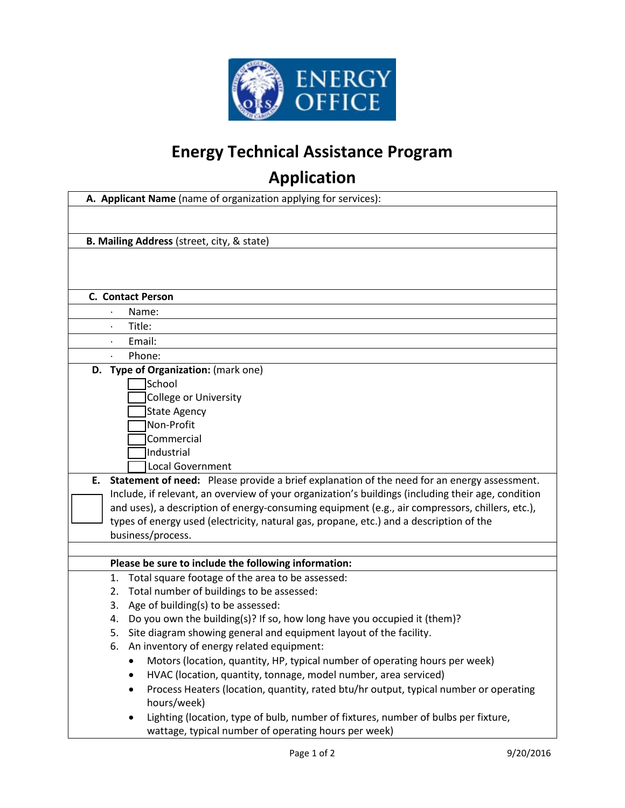

## **Energy Technical Assistance Program**

## **Application**

| A. Applicant Name (name of organization applying for services):                                           |
|-----------------------------------------------------------------------------------------------------------|
|                                                                                                           |
|                                                                                                           |
| B. Mailing Address (street, city, & state)                                                                |
|                                                                                                           |
|                                                                                                           |
|                                                                                                           |
| <b>C. Contact Person</b>                                                                                  |
| Name:                                                                                                     |
| Title:                                                                                                    |
| Email:                                                                                                    |
| Phone:                                                                                                    |
| D. Type of Organization: (mark one)                                                                       |
| <b>School</b>                                                                                             |
| College or University                                                                                     |
| <b>State Agency</b><br>Non-Profit                                                                         |
| Commercial                                                                                                |
| Industrial                                                                                                |
| <b>Local Government</b>                                                                                   |
| Statement of need: Please provide a brief explanation of the need for an energy assessment.<br>Е.         |
| Include, if relevant, an overview of your organization's buildings (including their age, condition        |
| and uses), a description of energy-consuming equipment (e.g., air compressors, chillers, etc.),           |
| types of energy used (electricity, natural gas, propane, etc.) and a description of the                   |
| business/process.                                                                                         |
|                                                                                                           |
| Please be sure to include the following information:                                                      |
| 1. Total square footage of the area to be assessed:                                                       |
| 2. Total number of buildings to be assessed:                                                              |
| 3. Age of building(s) to be assessed:                                                                     |
| 4. Do you own the building(s)? If so, how long have you occupied it (them)?                               |
| 5. Site diagram showing general and equipment layout of the facility.                                     |
| An inventory of energy related equipment:<br>6.                                                           |
| Motors (location, quantity, HP, typical number of operating hours per week)                               |
| HVAC (location, quantity, tonnage, model number, area serviced)                                           |
| Process Heaters (location, quantity, rated btu/hr output, typical number or operating<br>٠<br>hours/week) |
| Lighting (location, type of bulb, number of fixtures, number of bulbs per fixture,                        |
| wattage, typical number of operating hours per week)                                                      |